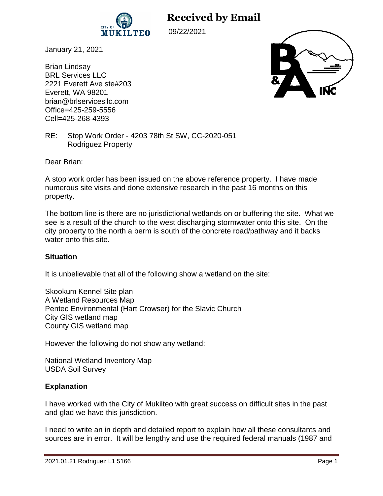

**Received by Email**

09/22/2021

January 21, 2021

Brian Lindsay BRL Services LLC 2221 Everett Ave ste#203 Everett, WA 98201 brian@brlservicesllc.com Office=425-259-5556 Cell=425-268-4393



RE: Stop Work Order - 4203 78th St SW, CC-2020-051 Rodriguez Property

Dear Brian:

A stop work order has been issued on the above reference property. I have made numerous site visits and done extensive research in the past 16 months on this property.

The bottom line is there are no jurisdictional wetlands on or buffering the site. What we see is a result of the church to the west discharging stormwater onto this site. On the city property to the north a berm is south of the concrete road/pathway and it backs water onto this site.

# **Situation**

It is unbelievable that all of the following show a wetland on the site:

Skookum Kennel Site plan A Wetland Resources Map Pentec Environmental (Hart Crowser) for the Slavic Church City GIS wetland map County GIS wetland map

However the following do not show any wetland:

National Wetland Inventory Map USDA Soil Survey

# **Explanation**

I have worked with the City of Mukilteo with great success on difficult sites in the past and glad we have this jurisdiction.

I need to write an in depth and detailed report to explain how all these consultants and sources are in error. It will be lengthy and use the required federal manuals (1987 and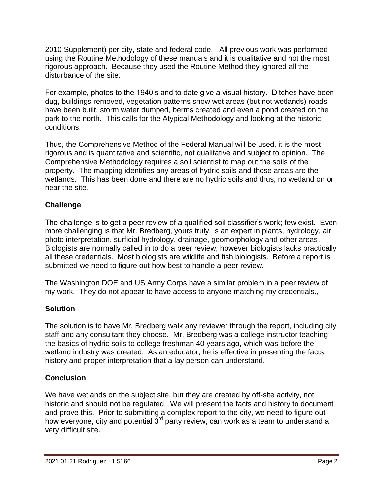2010 Supplement) per city, state and federal code. All previous work was performed using the Routine Methodology of these manuals and it is qualitative and not the most rigorous approach. Because they used the Routine Method they ignored all the disturbance of the site.

For example, photos to the 1940's and to date give a visual history. Ditches have been dug, buildings removed, vegetation patterns show wet areas (but not wetlands) roads have been built, storm water dumped, berms created and even a pond created on the park to the north. This calls for the Atypical Methodology and looking at the historic conditions.

Thus, the Comprehensive Method of the Federal Manual will be used, it is the most rigorous and is quantitative and scientific, not qualitative and subject to opinion. The Comprehensive Methodology requires a soil scientist to map out the soils of the property. The mapping identifies any areas of hydric soils and those areas are the wetlands. This has been done and there are no hydric soils and thus, no wetland on or near the site.

# **Challenge**

The challenge is to get a peer review of a qualified soil classifier's work; few exist. Even more challenging is that Mr. Bredberg, yours truly, is an expert in plants, hydrology, air photo interpretation, surficial hydrology, drainage, geomorphology and other areas. Biologists are normally called in to do a peer review, however biologists lacks practically all these credentials. Most biologists are wildlife and fish biologists. Before a report is submitted we need to figure out how best to handle a peer review.

The Washington DOE and US Army Corps have a similar problem in a peer review of my work. They do not appear to have access to anyone matching my credentials.,

# **Solution**

The solution is to have Mr. Bredberg walk any reviewer through the report, including city staff and any consultant they choose. Mr. Bredberg was a college instructor teaching the basics of hydric soils to college freshman 40 years ago, which was before the wetland industry was created. As an educator, he is effective in presenting the facts, history and proper interpretation that a lay person can understand.

# **Conclusion**

We have wetlands on the subject site, but they are created by off-site activity, not historic and should not be regulated. We will present the facts and history to document and prove this. Prior to submitting a complex report to the city, we need to figure out how everyone, city and potential 3<sup>rd</sup> party review, can work as a team to understand a very difficult site.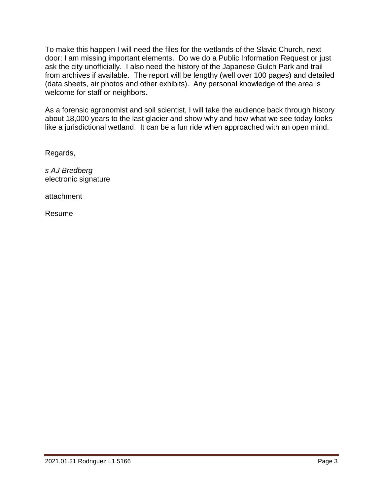To make this happen I will need the files for the wetlands of the Slavic Church, next door; I am missing important elements. Do we do a Public Information Request or just ask the city unofficially. I also need the history of the Japanese Gulch Park and trail from archives if available. The report will be lengthy (well over 100 pages) and detailed (data sheets, air photos and other exhibits). Any personal knowledge of the area is welcome for staff or neighbors.

As a forensic agronomist and soil scientist, I will take the audience back through history about 18,000 years to the last glacier and show why and how what we see today looks like a jurisdictional wetland. It can be a fun ride when approached with an open mind.

Regards,

*s AJ Bredberg* electronic signature

attachment

Resume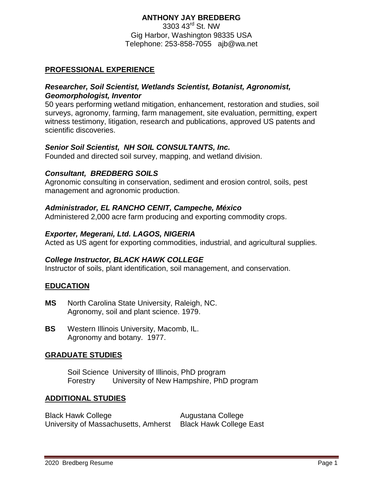# **ANTHONY JAY BREDBERG**

3303 43<sup>rd</sup> St. NW Gig Harbor, Washington 98335 USA Telephone: 253-858-7055 [ajb@wa.net](mailto:ajb@wa.net)

# **PROFESSIONAL EXPERIENCE**

### *Researcher, Soil Scientist, Wetlands Scientist, Botanist, Agronomist, Geomorphologist, Inventor*

50 years performing wetland mitigation, enhancement, restoration and studies, soil surveys, agronomy, farming, farm management, site evaluation, permitting, expert witness testimony, litigation, research and publications, approved US patents and scientific discoveries.

### *Senior Soil Scientist, NH SOIL CONSULTANTS, Inc.*

Founded and directed soil survey, mapping, and wetland division.

### *Consultant, BREDBERG SOILS*

Agronomic consulting in conservation, sediment and erosion control, soils, pest management and agronomic production.

# *Administrador, EL RANCHO CENIT, Campeche, México*

Administered 2,000 acre farm producing and exporting commodity crops.

### *Exporter, Megerani, Ltd. LAGOS, NIGERIA*

Acted as US agent for exporting commodities, industrial, and agricultural supplies.

# *College Instructor, BLACK HAWK COLLEGE*

Instructor of soils, plant identification, soil management, and conservation.

# **EDUCATION**

- **MS** North Carolina State University, Raleigh, NC. Agronomy, soil and plant science. 1979.
- **BS** Western Illinois University, Macomb, IL. Agronomy and botany. 1977.

# **GRADUATE STUDIES**

Soil Science University of Illinois, PhD program Forestry University of New Hampshire, PhD program

# **ADDITIONAL STUDIES**

Black Hawk College **Augustana College** Augustana College University of Massachusetts, Amherst Black Hawk College East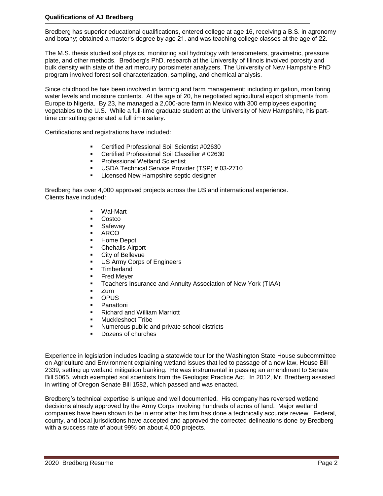#### **Qualifications of AJ Bredberg**

Bredberg has superior educational qualifications, entered college at age 16, receiving a B.S. in agronomy and botany; obtained a master's degree by age 21, and was teaching college classes at the age of 22.

The M.S. thesis studied soil physics, monitoring soil hydrology with tensiometers, gravimetric, pressure plate, and other methods. Bredberg's PhD. research at the University of Illinois involved porosity and bulk density with state of the art mercury porosimeter analyzers. The University of New Hampshire PhD program involved forest soil characterization, sampling, and chemical analysis.

Since childhood he has been involved in farming and farm management; including irrigation, monitoring water levels and moisture contents. At the age of 20, he negotiated agricultural export shipments from Europe to Nigeria. By 23, he managed a 2,000-acre farm in Mexico with 300 employees exporting vegetables to the U.S. While a full-time graduate student at the University of New Hampshire, his parttime consulting generated a full time salary.

Certifications and registrations have included:

- Certified Professional Soil Scientist #02630
- Certified Professional Soil Classifier # 02630
- Professional Wetland Scientist
- **USDA Technical Service Provider (TSP) # 03-2710**
- Licensed New Hampshire septic designer

Bredberg has over 4,000 approved projects across the US and international experience. Clients have included:

- Wal-Mart
- Costco
- **Safeway**
- ARCO
- Home Depot
- Chehalis Airport
- City of Bellevue
- US Army Corps of Engineers
- **Timberland**
- Fred Meyer
- **Teachers Insurance and Annuity Association of New York (TIAA)**
- Zurn
- **OPUS**
- Panattoni
- Richard and William Marriott
- Muckleshoot Tribe
- Numerous public and private school districts
- Dozens of churches

Experience in legislation includes leading a statewide tour for the Washington State House subcommittee on Agriculture and Environment explaining wetland issues that led to passage of a new law, House Bill 2339, setting up wetland mitigation banking. He was instrumental in passing an amendment to Senate Bill 5065, which exempted soil scientists from the Geologist Practice Act. In 2012, Mr. Bredberg assisted in writing of Oregon Senate Bill 1582, which passed and was enacted.

Bredberg's technical expertise is unique and well documented. His company has reversed wetland decisions already approved by the Army Corps involving hundreds of acres of land. Major wetland companies have been shown to be in error after his firm has done a technically accurate review. Federal, county, and local jurisdictions have accepted and approved the corrected delineations done by Bredberg with a success rate of about 99% on about 4,000 projects.